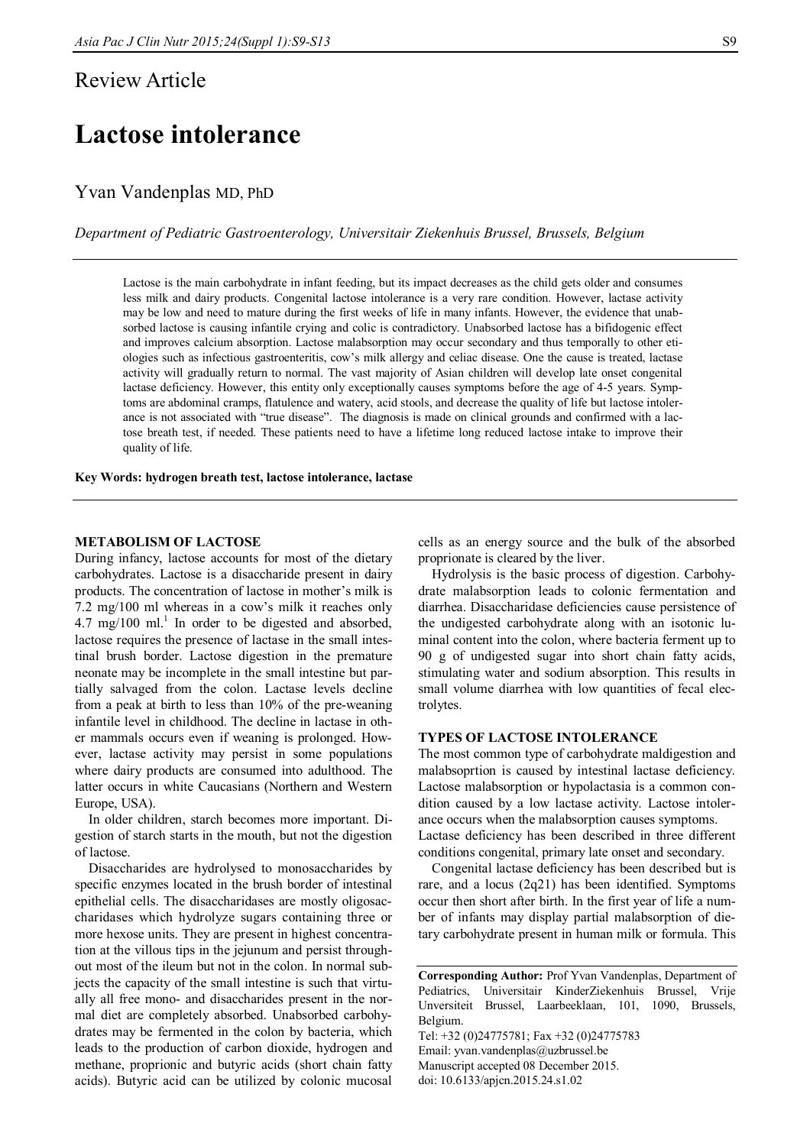### Review Article

# **Lactose intolerance**

### Yvan Vandenplas MD, PhD

*Department of Pediatric Gastroenterology, Universitair Ziekenhuis Brussel, Brussels, Belgium*

Lactose is the main carbohydrate in infant feeding, but its impact decreases as the child gets older and consumes less milk and dairy products. Congenital lactose intolerance is a very rare condition. However, lactase activity may be low and need to mature during the first weeks of life in many infants. However, the evidence that unabsorbed lactose is causing infantile crying and colic is contradictory. Unabsorbed lactose has a bifidogenic effect and improves calcium absorption. Lactose malabsorption may occur secondary and thus temporally to other etiologies such as infectious gastroenteritis, cow's milk allergy and celiac disease. One the cause is treated, lactase activity will gradually return to normal. The vast majority of Asian children will develop late onset congenital lactase deficiency. However, this entity only exceptionally causes symptoms before the age of 4-5 years. Symptoms are abdominal cramps, flatulence and watery, acid stools, and decrease the quality of life but lactose intolerance is not associated with "true disease". The diagnosis is made on clinical grounds and confirmed with a lactose breath test, if needed. These patients need to have a lifetime long reduced lactose intake to improve their quality of life.

**Key Words: hydrogen breath test, lactose intolerance, lactase**

#### **METABOLISM OF LACTOSE**

During infancy, lactose accounts for most of the dietary carbohydrates. Lactose is a disaccharide present in dairy products. The concentration of lactose in mother's milk is 7.2 mg/100 ml whereas in a cow's milk it reaches only  $4.7 \text{ mg}/100 \text{ ml.}^1$  In order to be digested and absorbed, lactose requires the presence of lactase in the small intestinal brush border. Lactose digestion in the premature neonate may be incomplete in the small intestine but partially salvaged from the colon. Lactase levels decline from a peak at birth to less than 10% of the pre-weaning infantile level in childhood. The decline in lactase in other mammals occurs even if weaning is prolonged. However, lactase activity may persist in some populations where dairy products are consumed into adulthood. The latter occurs in white Caucasians (Northern and Western Europe, USA).

In older children, starch becomes more important. Digestion of starch starts in the mouth, but not the digestion of lactose.

Disaccharides are hydrolysed to monosaccharides by specific enzymes located in the brush border of intestinal epithelial cells. The disaccharidases are mostly oligosaccharidases which hydrolyze sugars containing three or more hexose units. They are present in highest concentration at the villous tips in the jejunum and persist throughout most of the ileum but not in the colon. In normal subjects the capacity of the small intestine is such that virtually all free mono- and disaccharides present in the normal diet are completely absorbed. Unabsorbed carbohydrates may be fermented in the colon by bacteria, which leads to the production of carbon dioxide, hydrogen and methane, proprionic and butyric acids (short chain fatty acids). Butyric acid can be utilized by colonic mucosal

cells as an energy source and the bulk of the absorbed proprionate is cleared by the liver.

Hydrolysis is the basic process of digestion. Carbohydrate malabsorption leads to colonic fermentation and diarrhea. Disaccharidase deficiencies cause persistence of the undigested carbohydrate along with an isotonic luminal content into the colon, where bacteria ferment up to 90 g of undigested sugar into short chain fatty acids, stimulating water and sodium absorption. This results in small volume diarrhea with low quantities of fecal electrolytes.

#### **TYPES OF LACTOSE INTOLERANCE**

The most common type of carbohydrate maldigestion and malabsoprtion is caused by intestinal lactase deficiency. Lactose malabsorption or hypolactasia is a common condition caused by a low lactase activity. Lactose intolerance occurs when the malabsorption causes symptoms. Lactase deficiency has been described in three different conditions congenital, primary late onset and secondary.

Congenital lactase deficiency has been described but is rare, and a locus (2q21) has been identified. Symptoms occur then short after birth. In the first year of life a number of infants may display partial malabsorption of dietary carbohydrate present in human milk or formula. This

Tel: +32 (0)24775781; Fax +32 (0)24775783 Email: yvan.vandenplas@uzbrussel.be Manuscript accepted 08 December 2015. doi: 10.6133/apjcn.2015.24.s1.02

**Corresponding Author:** Prof Yvan Vandenplas, Department of Pediatrics, Universitair KinderZiekenhuis Brussel, Vrije Unversiteit Brussel, Laarbeeklaan, 101, 1090, Brussels, Belgium.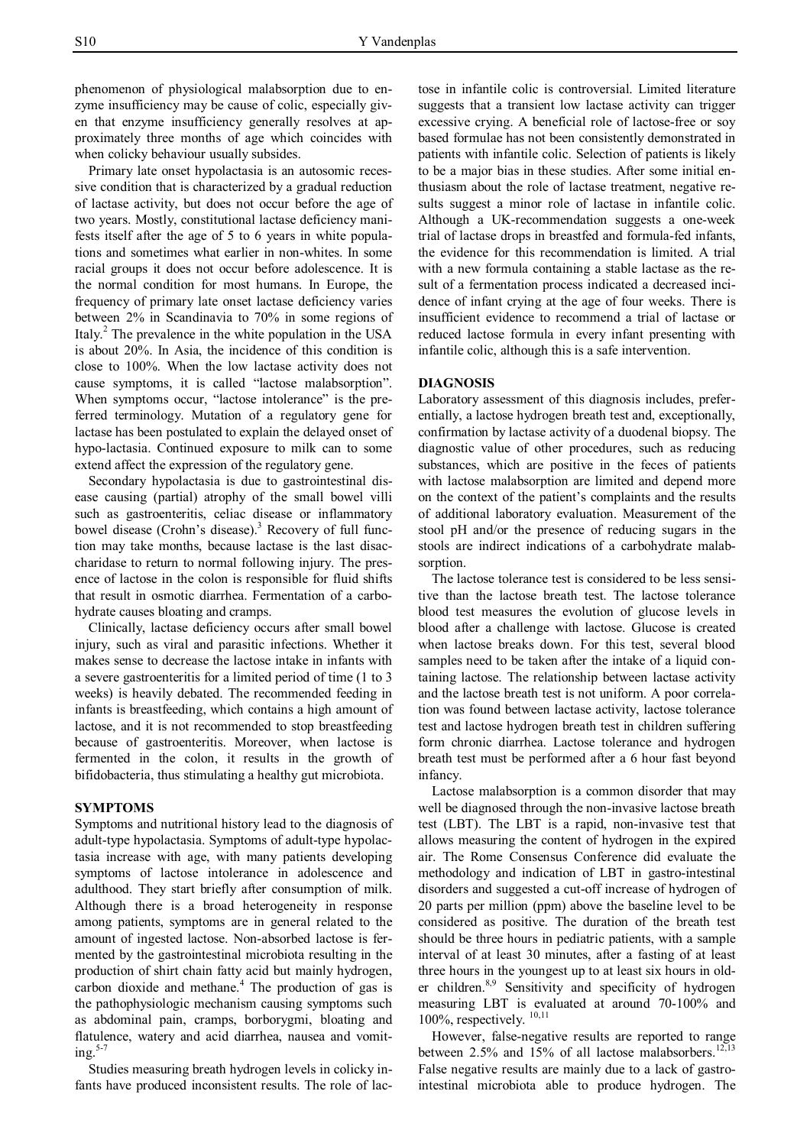phenomenon of physiological malabsorption due to enzyme insufficiency may be cause of colic, especially given that enzyme insufficiency generally resolves at approximately three months of age which coincides with when colicky behaviour usually subsides.

Primary late onset hypolactasia is an autosomic recessive condition that is characterized by a gradual reduction of lactase activity, but does not occur before the age of two years. Mostly, constitutional lactase deficiency manifests itself after the age of 5 to 6 years in white populations and sometimes what earlier in non-whites. In some racial groups it does not occur before adolescence. It is the normal condition for most humans. In Europe, the frequency of primary late onset lactase deficiency varies between 2% in Scandinavia to 70% in some regions of Italy.<sup>2</sup> The prevalence in the white population in the USA is about 20%. In Asia, the incidence of this condition is close to 100%. When the low lactase activity does not cause symptoms, it is called "lactose malabsorption". When symptoms occur, "lactose intolerance" is the preferred terminology. Mutation of a regulatory gene for lactase has been postulated to explain the delayed onset of hypo-lactasia. Continued exposure to milk can to some extend affect the expression of the regulatory gene.

Secondary hypolactasia is due to gastrointestinal disease causing (partial) atrophy of the small bowel villi such as gastroenteritis, celiac disease or inflammatory bowel disease (Crohn's disease).<sup>3</sup> Recovery of full function may take months, because lactase is the last disaccharidase to return to normal following injury. The presence of lactose in the colon is responsible for fluid shifts that result in osmotic diarrhea. Fermentation of a carbohydrate causes bloating and cramps.

Clinically, lactase deficiency occurs after small bowel injury, such as viral and parasitic infections. Whether it makes sense to decrease the lactose intake in infants with a severe gastroenteritis for a limited period of time (1 to 3 weeks) is heavily debated. The recommended feeding in infants is breastfeeding, which contains a high amount of lactose, and it is not recommended to stop breastfeeding because of gastroenteritis. Moreover, when lactose is fermented in the colon, it results in the growth of bifidobacteria, thus stimulating a healthy gut microbiota.

#### **SYMPTOMS**

Symptoms and nutritional history lead to the diagnosis of adult-type hypolactasia. Symptoms of adult-type hypolactasia increase with age, with many patients developing symptoms of lactose intolerance in adolescence and adulthood. They start briefly after consumption of milk. Although there is a broad heterogeneity in response among patients, symptoms are in general related to the amount of ingested lactose. Non-absorbed lactose is fermented by the gastrointestinal microbiota resulting in the production of shirt chain fatty acid but mainly hydrogen, carbon dioxide and methane. <sup>4</sup> The production of gas is the pathophysiologic mechanism causing symptoms such as abdominal pain, cramps, borborygmi, bloating and flatulence, watery and acid diarrhea, nausea and vomiting. 5-7

Studies measuring breath hydrogen levels in colicky infants have produced inconsistent results. The role of lactose in infantile colic is controversial. Limited literature suggests that a transient low lactase activity can trigger excessive crying. A beneficial role of lactose-free or soy based formulae has not been consistently demonstrated in patients with infantile colic. Selection of patients is likely to be a major bias in these studies. After some initial enthusiasm about the role of lactase treatment, negative results suggest a minor role of lactase in infantile colic. Although a UK-recommendation suggests a one-week trial of lactase drops in breastfed and formula-fed infants, the evidence for this recommendation is limited. A trial with a new formula containing a stable lactase as the result of a fermentation process indicated a decreased incidence of infant crying at the age of four weeks. There is insufficient evidence to recommend a trial of lactase or reduced lactose formula in every infant presenting with infantile colic, although this is a safe intervention.

#### **DIAGNOSIS**

Laboratory assessment of this diagnosis includes, preferentially, a lactose hydrogen breath test and, exceptionally, confirmation by lactase activity of a duodenal biopsy. The diagnostic value of other procedures, such as reducing substances, which are positive in the feces of patients with lactose malabsorption are limited and depend more on the context of the patient's complaints and the results of additional laboratory evaluation. Measurement of the stool pH and/or the presence of reducing sugars in the stools are indirect indications of a carbohydrate malabsorption.

The lactose tolerance test is considered to be less sensitive than the lactose breath test. The lactose tolerance blood test measures the evolution of glucose levels in blood after a challenge with lactose. Glucose is created when lactose breaks down. For this test, several blood samples need to be taken after the intake of a liquid containing lactose. The relationship between lactase activity and the lactose breath test is not uniform. A poor correlation was found between lactase activity, lactose tolerance test and lactose hydrogen breath test in children suffering form chronic diarrhea. Lactose tolerance and hydrogen breath test must be performed after a 6 hour fast beyond infancy.

Lactose malabsorption is a common disorder that may well be diagnosed through the non-invasive lactose breath test (LBT). The LBT is a rapid, non-invasive test that allows measuring the content of hydrogen in the expired air. The Rome Consensus Conference did evaluate the methodology and indication of LBT in gastro-intestinal disorders and suggested a cut-off increase of hydrogen of 20 parts per million (ppm) above the baseline level to be considered as positive. The duration of the breath test should be three hours in pediatric patients, with a sample interval of at least 30 minutes, after a fasting of at least three hours in the youngest up to at least six hours in older children.<sup>8,9</sup> Sensitivity and specificity of hydrogen measuring LBT is evaluated at around 70-100% and 100%, respectively.  $10,11$ 

However, false-negative results are reported to range between 2.5% and 15% of all lactose malabsorbers.<sup>12,13</sup> False negative results are mainly due to a lack of gastrointestinal microbiota able to produce hydrogen. The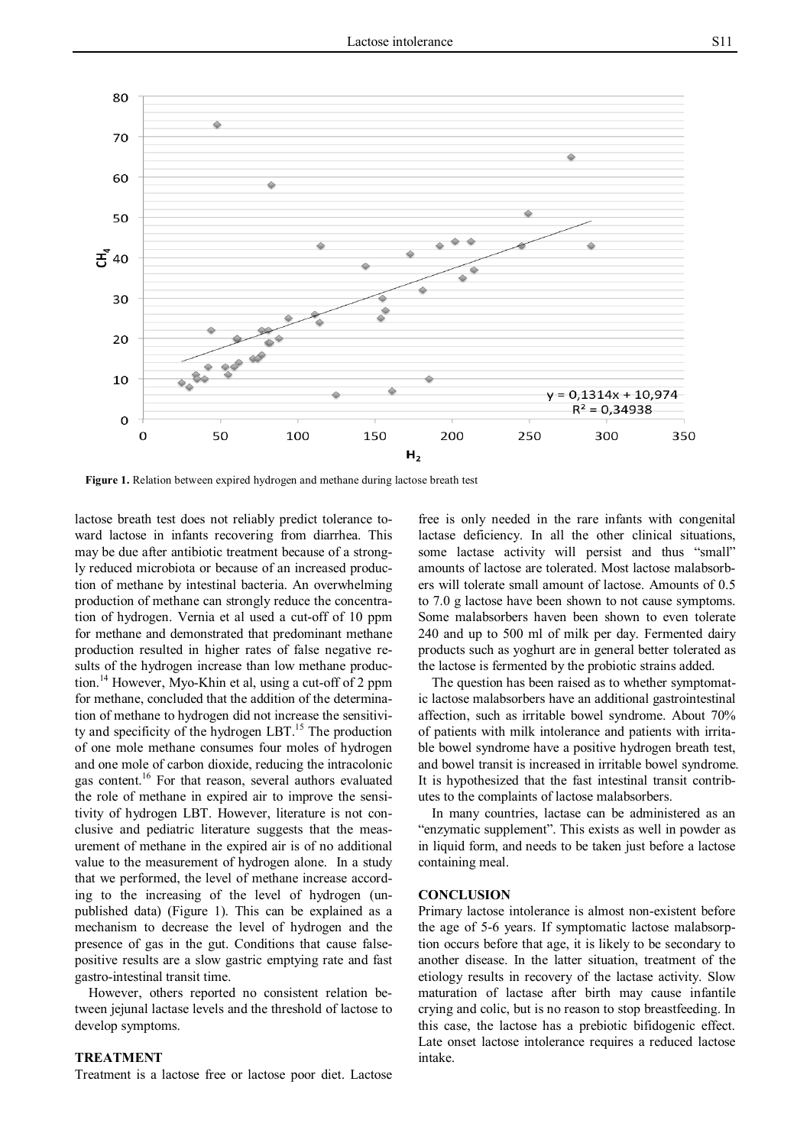

**Figure 1.** Relation between expired hydrogen and methane during lactose breath test

lactose breath test does not reliably predict tolerance toward lactose in infants recovering from diarrhea. This may be due after antibiotic treatment because of a strongly reduced microbiota or because of an increased production of methane by intestinal bacteria. An overwhelming production of methane can strongly reduce the concentration of hydrogen. Vernia et al used a cut-off of 10 ppm for methane and demonstrated that predominant methane production resulted in higher rates of false negative results of the hydrogen increase than low methane production.<sup>14</sup> However, Myo-Khin et al, using a cut-off of 2 ppm for methane, concluded that the addition of the determination of methane to hydrogen did not increase the sensitivity and specificity of the hydrogen LBT.<sup>15</sup> The production of one mole methane consumes four moles of hydrogen and one mole of carbon dioxide, reducing the intracolonic gas content. 16 For that reason, several authors evaluated the role of methane in expired air to improve the sensitivity of hydrogen LBT. However, literature is not conclusive and pediatric literature suggests that the measurement of methane in the expired air is of no additional value to the measurement of hydrogen alone. In a study that we performed, the level of methane increase according to the increasing of the level of hydrogen (unpublished data) (Figure 1). This can be explained as a mechanism to decrease the level of hydrogen and the presence of gas in the gut. Conditions that cause falsepositive results are a slow gastric emptying rate and fast gastro-intestinal transit time.

However, others reported no consistent relation between jejunal lactase levels and the threshold of lactose to develop symptoms.

#### **TREATMENT**

Treatment is a lactose free or lactose poor diet. Lactose

free is only needed in the rare infants with congenital lactase deficiency. In all the other clinical situations, some lactase activity will persist and thus "small" amounts of lactose are tolerated. Most lactose malabsorbers will tolerate small amount of lactose. Amounts of 0.5 to 7.0 g lactose have been shown to not cause symptoms. Some malabsorbers haven been shown to even tolerate 240 and up to 500 ml of milk per day. Fermented dairy products such as yoghurt are in general better tolerated as the lactose is fermented by the probiotic strains added.

The question has been raised as to whether symptomatic lactose malabsorbers have an additional gastrointestinal affection, such as irritable bowel syndrome. About 70% of patients with milk intolerance and patients with irritable bowel syndrome have a positive hydrogen breath test, and bowel transit is increased in irritable bowel syndrome. It is hypothesized that the fast intestinal transit contributes to the complaints of lactose malabsorbers.

In many countries, lactase can be administered as an "enzymatic supplement". This exists as well in powder as in liquid form, and needs to be taken just before a lactose containing meal.

#### **CONCLUSION**

Primary lactose intolerance is almost non-existent before the age of 5-6 years. If symptomatic lactose malabsorption occurs before that age, it is likely to be secondary to another disease. In the latter situation, treatment of the etiology results in recovery of the lactase activity. Slow maturation of lactase after birth may cause infantile crying and colic, but is no reason to stop breastfeeding. In this case, the lactose has a prebiotic bifidogenic effect. Late onset lactose intolerance requires a reduced lactose intake.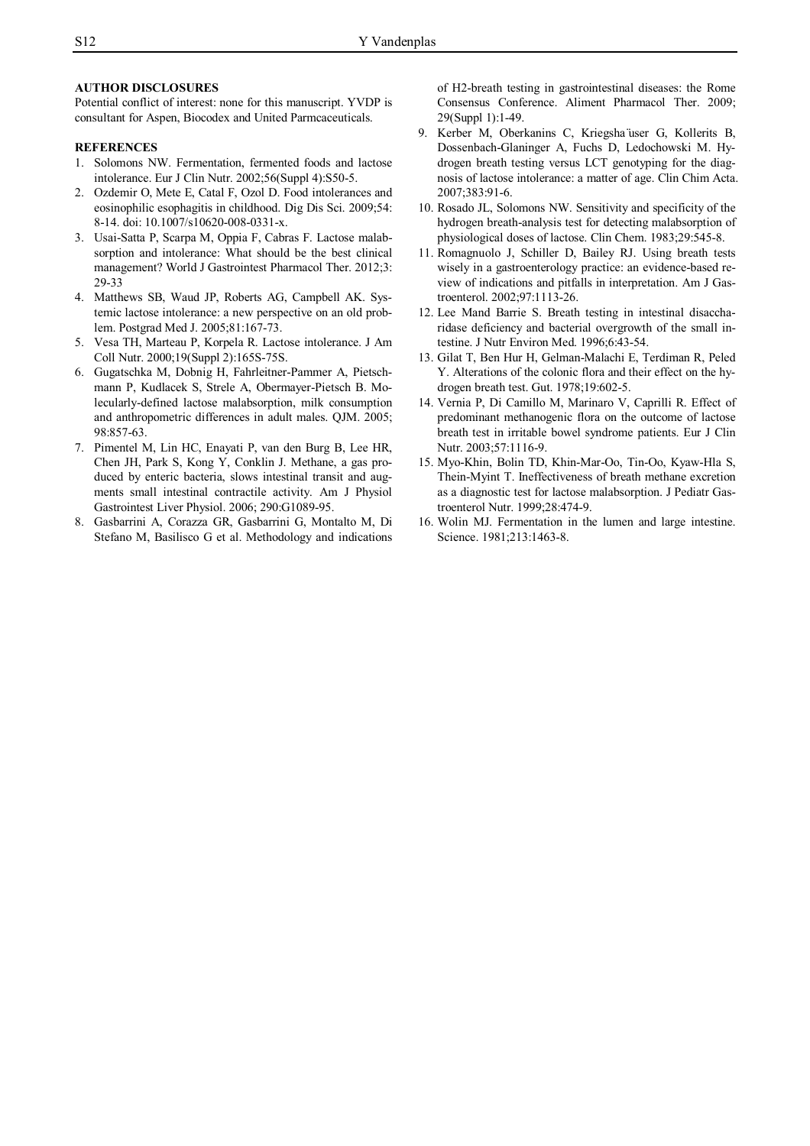#### **AUTHOR DISCLOSURES**

Potential conflict of interest: none for this manuscript. YVDP is consultant for Aspen, Biocodex and United Parmcaceuticals.

#### **REFERENCES**

- 1. Solomons NW. Fermentation, fermented foods and lactose intolerance. Eur J Clin Nutr. 2002;56(Suppl 4):S50-5.
- 2. Ozdemir O, Mete E, Catal F, Ozol D. Food intolerances and eosinophilic esophagitis in childhood. Dig Dis Sci. 2009;54: 8-14. doi: 10.1007/s10620-008-0331-x.
- 3. Usai-Satta P, Scarpa M, Oppia F, Cabras F. Lactose malabsorption and intolerance: What should be the best clinical management? World J Gastrointest Pharmacol Ther. 2012;3: 29-33
- 4. Matthews SB, Waud JP, Roberts AG, Campbell AK. Systemic lactose intolerance: a new perspective on an old problem. Postgrad Med J. 2005;81:167-73.
- 5. Vesa TH, Marteau P, Korpela R. Lactose intolerance. J Am Coll Nutr. 2000;19(Suppl 2):165S-75S.
- 6. Gugatschka M, Dobnig H, Fahrleitner-Pammer A, Pietschmann P, Kudlacek S, Strele A, Obermayer-Pietsch B. Molecularly-defined lactose malabsorption, milk consumption and anthropometric differences in adult males. QJM. 2005; 98:857-63.
- 7. Pimentel M, Lin HC, Enayati P, van den Burg B, Lee HR, Chen JH, Park S, Kong Y, Conklin J. Methane, a gas produced by enteric bacteria, slows intestinal transit and augments small intestinal contractile activity. Am J Physiol Gastrointest Liver Physiol. 2006; 290:G1089-95.
- 8. Gasbarrini A, Corazza GR, Gasbarrini G, Montalto M, Di Stefano M, Basilisco G et al. Methodology and indications

of H2-breath testing in gastrointestinal diseases: the Rome Consensus Conference. Aliment Pharmacol Ther. 2009; 29(Suppl 1):1-49.

- 9. Kerber M, Oberkanins C, Kriegsha ̈user G, Kollerits B, Dossenbach-Glaninger A, Fuchs D, Ledochowski M. Hydrogen breath testing versus LCT genotyping for the diagnosis of lactose intolerance: a matter of age. Clin Chim Acta. 2007;383:91-6.
- 10. Rosado JL, Solomons NW. Sensitivity and specificity of the hydrogen breath-analysis test for detecting malabsorption of physiological doses of lactose. Clin Chem. 1983;29:545-8.
- 11. Romagnuolo J, Schiller D, Bailey RJ. Using breath tests wisely in a gastroenterology practice: an evidence-based review of indications and pitfalls in interpretation. Am J Gastroenterol. 2002;97:1113-26.
- 12. Lee Mand Barrie S. Breath testing in intestinal disaccharidase deficiency and bacterial overgrowth of the small intestine. J Nutr Environ Med. 1996;6:43-54.
- 13. Gilat T, Ben Hur H, Gelman-Malachi E, Terdiman R, Peled Y. Alterations of the colonic flora and their effect on the hydrogen breath test. Gut. 1978;19:602-5.
- 14. Vernia P, Di Camillo M, Marinaro V, Caprilli R. Effect of predominant methanogenic flora on the outcome of lactose breath test in irritable bowel syndrome patients. Eur J Clin Nutr. 2003;57:1116-9.
- 15. Myo-Khin, Bolin TD, Khin-Mar-Oo, Tin-Oo, Kyaw-Hla S, Thein-Myint T. Ineffectiveness of breath methane excretion as a diagnostic test for lactose malabsorption. J Pediatr Gastroenterol Nutr. 1999;28:474-9.
- 16. Wolin MJ. Fermentation in the lumen and large intestine. Science. 1981;213:1463-8.